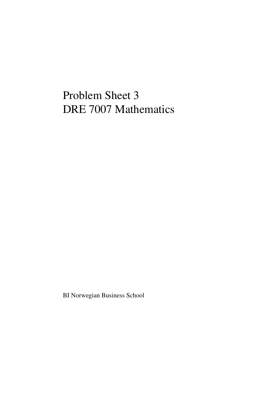## Problem Sheet 3 DRE 7007 Mathematics

BI Norwegian Business School